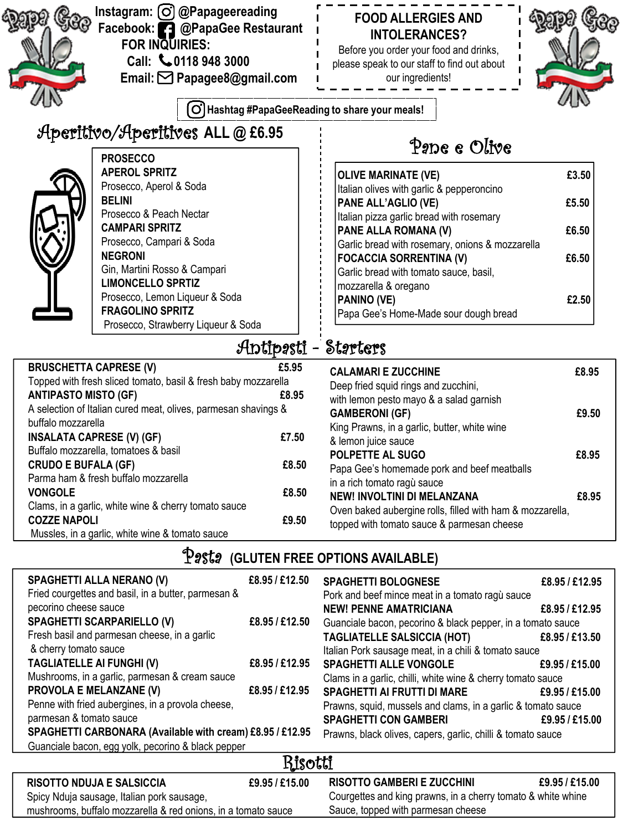|                                                              | Instagram: (O) @Papageereading<br>Facebook: 2 @PapaGee Restaurant<br>FOR INQUIRIES:<br>Call: 40118 948 3000<br>Email: <b><a></a></b> Papagee8@gmail.com |                | <b>FOOD ALLERGIES AND</b><br><b>INTOLERANCES?</b><br>Before you order your food and drinks,<br>please speak to our staff to find out about<br>our ingredients! |       |
|--------------------------------------------------------------|---------------------------------------------------------------------------------------------------------------------------------------------------------|----------------|----------------------------------------------------------------------------------------------------------------------------------------------------------------|-------|
|                                                              | [O                                                                                                                                                      |                | Hashtag #PapaGeeReading to share your meals!                                                                                                                   |       |
|                                                              | Aperitivo/Aperitives ALL @ £6.95<br><b>PROSECCO</b>                                                                                                     |                | Pape e Olive                                                                                                                                                   |       |
|                                                              | <b>APEROL SPRITZ</b><br>Prosecco, Aperol & Soda<br><b>BELINI</b>                                                                                        |                | <b>OLIVE MARINATE (VE)</b><br>Italian olives with garlic & pepperoncino                                                                                        | £3.50 |
|                                                              | Prosecco & Peach Nectar                                                                                                                                 |                | PANE ALL'AGLIO (VE)<br>Italian pizza garlic bread with rosemary                                                                                                | £5.50 |
|                                                              | <b>CAMPARI SPRITZ</b><br>Prosecco, Campari & Soda                                                                                                       |                | PANE ALLA ROMANA (V)<br>Garlic bread with rosemary, onions & mozzarella                                                                                        | £6.50 |
|                                                              | <b>NEGRONI</b><br>Gin, Martini Rosso & Campari<br><b>LIMONCELLO SPRTIZ</b>                                                                              |                | <b>FOCACCIA SORRENTINA (V)</b><br>Garlic bread with tomato sauce, basil,<br>mozzarella & oregano                                                               | £6.50 |
|                                                              | Prosecco, Lemon Liqueur & Soda<br><b>FRAGOLINO SPRITZ</b><br>Prosecco, Strawberry Liqueur & Soda                                                        |                | PANINO (VE)<br>Papa Gee's Home-Made sour dough bread                                                                                                           | £2.50 |
|                                                              |                                                                                                                                                         | Antipəsti –    | <b>Starters</b>                                                                                                                                                |       |
| <b>BRUSCHETTA CAPRESE (V)</b><br><b>ANTIPASTO MISTO (GF)</b> | Topped with fresh sliced tomato, basil & fresh baby mozzarella                                                                                          | £5.95<br>£8.95 | <b>CALAMARI E ZUCCHINE</b><br>Deep fried squid rings and zucchini,<br>with lemon pesto mayo & a salad garnish                                                  | £8.95 |
| buffalo mozzarella                                           | A selection of Italian cured meat, olives, parmesan shavings &<br><b>INSALATA CAPRESE (V) (GF)</b>                                                      | £7.50          | <b>GAMBERONI (GF)</b><br>King Prawns, in a garlic, butter, white wine<br>& lemon juice sauce                                                                   | £9.50 |
| <b>CRUDO E BUFALA (GF)</b>                                   | Buffalo mozzarella, tomatoes & basil                                                                                                                    | £8.50          | POLPETTE AL SUGO<br>Papa Gee's homemade pork and beef meatballs                                                                                                | £8.95 |
| <b>VONGOLE</b>                                               | Parma ham & fresh buffalo mozzarella                                                                                                                    | £8.50          | in a rich tomato ragù sauce<br>NEW! INVOLTINI DI MELANZANA                                                                                                     | £8.95 |
| <b>COZZE NAPOLI</b>                                          | Clams, in a garlic, white wine & cherry tomato sauce<br>Mussles, in a garlic, white wine & tomato sauce                                                 | £9.50          | Oven baked aubergine rolls, filled with ham & mozzarella,<br>topped with tomato sauce & parmesan cheese                                                        |       |
|                                                              | Pəstə                                                                                                                                                   |                | (GLUTEN FREE OPTIONS AVAILABLE)                                                                                                                                |       |

| SPAGHETTI ALLA NERANO (V)                                 | £8.95 / £12.50 | <b>SPAGHETTI BOLOGNESE</b>                                   | £8.95 / £12.95 |  |  |  |
|-----------------------------------------------------------|----------------|--------------------------------------------------------------|----------------|--|--|--|
| Fried courgettes and basil, in a butter, parmesan &       |                | Pork and beef mince meat in a tomato ragù sauce              |                |  |  |  |
| pecorino cheese sauce                                     |                | <b>NEW! PENNE AMATRICIANA</b>                                | £8.95 / £12.95 |  |  |  |
| <b>SPAGHETTI SCARPARIELLO (V)</b>                         | £8.95 / £12.50 | Guanciale bacon, pecorino & black pepper, in a tomato sauce  |                |  |  |  |
| Fresh basil and parmesan cheese, in a garlic              |                | <b>TAGLIATELLE SALSICCIA (HOT)</b>                           | £8.95 / £13.50 |  |  |  |
| & cherry tomato sauce                                     |                | Italian Pork sausage meat, in a chili & tomato sauce         |                |  |  |  |
| <b>TAGLIATELLE AI FUNGHI (V)</b>                          | £8.95 / £12.95 | <b>SPAGHETTI ALLE VONGOLE</b>                                | £9.95/£15.00   |  |  |  |
| Mushrooms, in a garlic, parmesan & cream sauce            |                | Clams in a garlic, chilli, white wine & cherry tomato sauce  |                |  |  |  |
| PROVOLA E MELANZANE (V)                                   | £8.95 / £12.95 | <b>SPAGHETTI AI FRUTTI DI MARE</b>                           | £9.95/£15.00   |  |  |  |
| Penne with fried aubergines, in a provola cheese,         |                | Prawns, squid, mussels and clams, in a garlic & tomato sauce |                |  |  |  |
| parmesan & tomato sauce                                   |                | <b>SPAGHETTI CON GAMBERI</b>                                 | £9.95/£15.00   |  |  |  |
| SPAGHETTI CARBONARA (Available with cream) £8.95 / £12.95 |                | Prawns, black olives, capers, garlic, chilli & tomato sauce  |                |  |  |  |
| Guanciale bacon, egg yolk, pecorino & black pepper        |                |                                                              |                |  |  |  |
| Risotti                                                   |                |                                                              |                |  |  |  |
| <b>RISOTTO NDUJA E SALSICCIA</b>                          | £9.95/£15.00   | <b>RISOTTO GAMBERI E ZUCCHINI</b>                            | £9.95/£15.00   |  |  |  |
|                                                           |                |                                                              |                |  |  |  |

Spicy Nduja sausage, Italian pork sausage, mushrooms, buffalo mozzarella & red onions, in a tomato sauce Courgettes and king prawns, in a cherry tomato & white whine Sauce, topped with parmesan cheese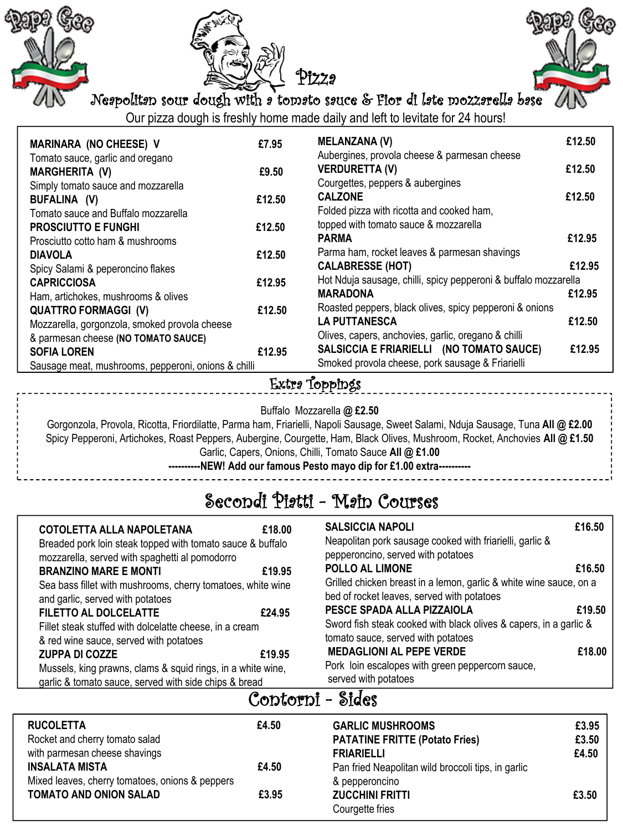





Neapolitan sour dough with a tomato sauce & Fior di late mozzarella base

Our pizza dough is freshly home made daily and left to levitate for 24 hours!

| <b>MARINARA (NO CHEESE) V</b>                       | £7.95  | <b>MELANZANA (V)</b>                                            | £12.50 |
|-----------------------------------------------------|--------|-----------------------------------------------------------------|--------|
| Tomato sauce, garlic and oregano                    |        | Aubergines, provola cheese & parmesan cheese                    |        |
| <b>MARGHERITA (V)</b>                               | £9.50  | <b>VERDURETTA (V)</b>                                           | £12.50 |
| Simply tomato sauce and mozzarella                  |        | Courgettes, peppers & aubergines                                |        |
| BUFALINA (V)                                        | £12.50 | <b>CALZONE</b>                                                  | £12.50 |
| Tomato sauce and Buffalo mozzarella                 |        | Folded pizza with ricotta and cooked ham,                       |        |
| <b>PROSCIUTTO E FUNGHI</b>                          | £12.50 | topped with tomato sauce & mozzarella                           |        |
| Prosciutto cotto ham & mushrooms                    |        | <b>PARMA</b>                                                    | £12.95 |
| <b>DIAVOLA</b>                                      | £12.50 | Parma ham, rocket leaves & parmesan shavings                    |        |
| Spicy Salami & peperoncino flakes                   |        | <b>CALABRESSE (HOT)</b>                                         | £12.95 |
| <b>CAPRICCIOSA</b>                                  | £12.95 | Hot Nduja sausage, chilli, spicy pepperoni & buffalo mozzarella |        |
| Ham, artichokes, mushrooms & olives                 |        | <b>MARADONA</b>                                                 | £12.95 |
| <b>QUATTRO FORMAGGI (V)</b>                         | £12.50 | Roasted peppers, black olives, spicy pepperoni & onions         |        |
| Mozzarella, gorgonzola, smoked provola cheese       |        | <b>LA PUTTANESCA</b>                                            | £12.50 |
| & parmesan cheese (NO TOMATO SAUCE)                 |        | Olives, capers, anchovies, garlic, oregano & chilli             |        |
| <b>SOFIA LOREN</b>                                  | £12.95 | SALSICCIA E FRIARIELLI (NO TOMATO SAUCE)                        | £12.95 |
| Sausage meat, mushrooms, pepperoni, onions & chilli |        | Smoked provola cheese, pork sausage & Friarielli                |        |

#### Extra Toppings

Buffalo Mozzarella **@ £2.50**

Gorgonzola, Provola, Ricotta, Friordilatte, Parma ham, Friarielli, Napoli Sausage, Sweet Salami, Nduja Sausage, Tuna **All @ £2.00** Spicy Pepperoni, Artichokes, Roast Peppers, Aubergine, Courgette, Ham, Black Olives, Mushroom, Rocket, Anchovies **All @ £1.50** Garlic, Capers, Onions, Chilli, Tomato Sauce **All @ £1.00 ----------NEW! Add our famous Pesto mayo dip for £1.00 extra----------**

# Secondi Piatti - Main Courses

| COTOLETTA ALLA NAPOLETANA<br>Breaded pork loin steak topped with tomato sauce & buffalo                              | £18.00 |  |  |  |  |
|----------------------------------------------------------------------------------------------------------------------|--------|--|--|--|--|
| mozzarella, served with spaghetti al pomodorro<br><b>BRANZINO MARE E MONTI</b>                                       | £19.95 |  |  |  |  |
| Sea bass fillet with mushrooms, cherry tomatoes, white wine<br>and garlic, served with potatoes                      |        |  |  |  |  |
| <b>FILETTO AL DOLCELATTE</b>                                                                                         | £24.95 |  |  |  |  |
| Fillet steak stuffed with dolcelatte cheese, in a cream                                                              |        |  |  |  |  |
| & red wine sauce, served with potatoes                                                                               |        |  |  |  |  |
| <b>ZUPPA DI COZZE</b>                                                                                                | £19.95 |  |  |  |  |
| Mussels, king prawns, clams & squid rings, in a white wine,<br>garlic & tomato sauce, served with side chips & bread |        |  |  |  |  |

| <b>SALSICCIA NAPOLI</b>                                            | £16.50 |
|--------------------------------------------------------------------|--------|
| Neapolitan pork sausage cooked with friarielli, garlic &           |        |
| pepperoncino, served with potatoes                                 |        |
| <b>POLLO AL LIMONE</b>                                             | £16.50 |
| Grilled chicken breast in a lemon, garlic & white wine sauce, on a |        |
| bed of rocket leaves, served with potatoes                         |        |
| PESCE SPADA ALLA PIZZAIOLA                                         | £19.50 |
| Sword fish steak cooked with black olives & capers, in a garlic &  |        |
| tomato sauce, served with potatoes                                 |        |
| <b>MEDAGLIONI AL PEPE VERDE</b>                                    | £18.00 |
| Pork loin escalopes with green peppercorn sauce,                   |        |
| served with potatoes                                               |        |

### Contorni - Sides

| <b>RUCOLETTA</b>                                | £4.50 | <b>GARLIC MUSHROOMS</b>                            | £3.95 |
|-------------------------------------------------|-------|----------------------------------------------------|-------|
| Rocket and cherry tomato salad                  |       | <b>PATATINE FRITTE (Potato Fries)</b>              | £3.50 |
| with parmesan cheese shavings                   |       | <b>FRIARIELLI</b>                                  | £4.50 |
| <b>INSALATA MISTA</b>                           | £4.50 | Pan fried Neapolitan wild broccoli tips, in garlic |       |
| Mixed leaves, cherry tomatoes, onions & peppers |       | & pepperoncino                                     |       |
| TOMATO AND ONION SALAD                          | £3.95 | <b>ZUCCHINI FRITTI</b>                             | £3.50 |
|                                                 |       | Courgette fries                                    |       |
|                                                 |       |                                                    |       |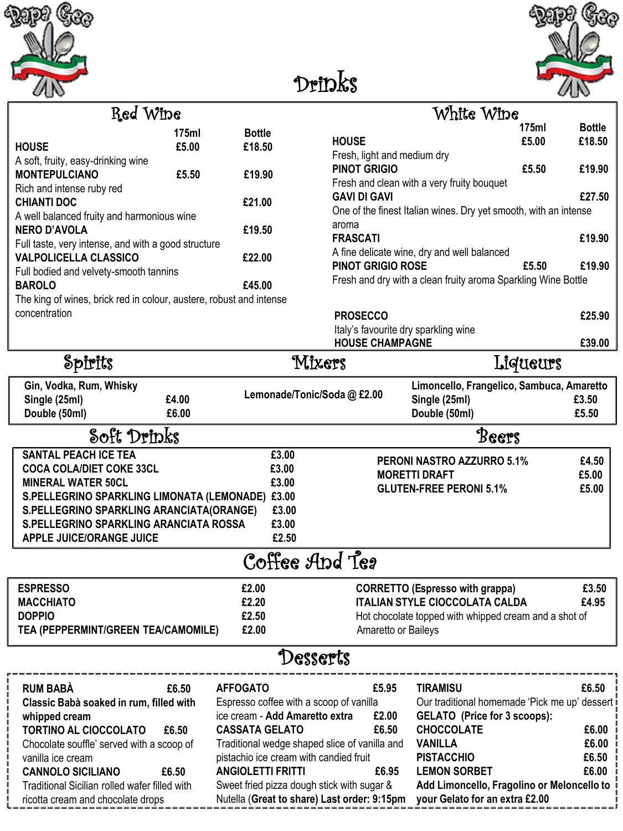



# Drinks

| Ked Wine                                                            |        |               |
|---------------------------------------------------------------------|--------|---------------|
|                                                                     | 175ml  | <b>Bottle</b> |
| <b>HOUSE</b>                                                        | £5.00  | £18.50        |
| A soft, fruity, easy-drinking wine                                  |        |               |
| <b>MONTEPULCIANO</b>                                                | £5.50  | £19.90        |
| Rich and intense ruby red                                           |        |               |
| <b>CHIANTI DOC</b>                                                  | £21.00 |               |
| A well balanced fruity and harmonious wine                          |        |               |
| <b>NERO D'AVOLA</b>                                                 |        | £19.50        |
| Full taste, very intense, and with a good structure                 |        |               |
| <b>VALPOLICELLA CLASSICO</b>                                        |        | £22.00        |
| Full bodied and velvety-smooth tannins                              |        |               |
| <b>BAROLO</b>                                                       |        | £45.00        |
| The king of wines, brick red in colour, austere, robust and intense |        |               |
| concentration                                                       |        |               |
|                                                                     |        |               |

Spirits

|                                                                                         | Red Wine       |                         | White Wine                                                                              |                |                         |
|-----------------------------------------------------------------------------------------|----------------|-------------------------|-----------------------------------------------------------------------------------------|----------------|-------------------------|
| <b>HOUSE</b>                                                                            | 175ml<br>£5.00 | <b>Bottle</b><br>£18.50 | <b>HOUSE</b><br>Fresh, light and medium dry                                             | 175ml<br>£5.00 | <b>Bottle</b><br>£18.50 |
| A soft, fruity, easy-drinking wine<br><b>MONTEPULCIANO</b><br>Rich and intense ruby red | £5.50          | £19.90                  | <b>PINOT GRIGIO</b><br>Fresh and clean with a very fruity bouquet                       | £5.50          | £19.90                  |
| CHIANTI DOC<br>A well balanced fruity and harmonious wine                               |                | £21.00                  | <b>GAVI DI GAVI</b><br>One of the finest Italian wines. Dry yet smooth, with an intense |                | £27.50                  |
| NERO D'AVOLA<br>Full taste, very intense, and with a good structure                     |                | £19.50                  | aroma<br><b>FRASCATI</b>                                                                |                | £19.90                  |
| <b>VALPOLICELLA CLASSICO</b><br>Full bodied and velvety-smooth tannins                  |                | £22.00                  | A fine delicate wine, dry and well balanced<br><b>PINOT GRIGIO ROSE</b>                 | £5.50          | £19.90                  |
| <b>BAROLO</b>                                                                           |                | £45.00                  | Fresh and dry with a clean fruity aroma Sparkling Wine Bottle                           |                |                         |
| The king of wines, brick red in colour, austere, robust and intense                     |                |                         |                                                                                         |                |                         |
| concentration                                                                           |                |                         | <b>PROSECCO</b>                                                                         |                | £25.90                  |
|                                                                                         |                |                         | الممشرين ممشاباه وجروان والمشاهرين ومتروم والمغار                                       |                |                         |

| Italy's favourite dry sparkling wine<br><b>HOUSE CHAMPAGNE</b> | £39.00                                    |
|----------------------------------------------------------------|-------------------------------------------|
| Mixers                                                         | Liqueurs                                  |
|                                                                | Limoncello. Frangelico. Sambuca. Amaretto |

| Gin, Vodka, Rum, Whisky                          |       |                           |  | Limoncello, Frangelico, Sambuca, Amaretto |       |  |  |
|--------------------------------------------------|-------|---------------------------|--|-------------------------------------------|-------|--|--|
| Single (25ml)                                    | £4.00 | Lemonade/Tonic/Soda@£2.00 |  | Single (25ml)                             | £3.50 |  |  |
| Double (50ml)                                    | £6.00 |                           |  | Double (50ml)                             | £5.50 |  |  |
| Soft Drinks                                      |       |                           |  | Beers                                     |       |  |  |
| <b>SANTAL PEACH ICE TEA</b>                      |       | £3.00                     |  | <b>PERONI NASTRO AZZURRO 5.1%</b>         | £4.50 |  |  |
| <b>COCA COLA/DIET COKE 33CL</b>                  |       | £3.00                     |  | <b>MORETTI DRAFT</b>                      | £5.00 |  |  |
| <b>MINERAL WATER 50CL</b>                        |       | £3.00                     |  | <b>GLUTEN-FREE PERONI 5.1%</b>            | £5.00 |  |  |
| S.PELLEGRINO SPARKLING LIMONATA (LEMONADE) £3.00 |       |                           |  |                                           |       |  |  |
| S.PELLEGRINO SPARKLING ARANCIATA(ORANGE)         |       | £3.00                     |  |                                           |       |  |  |
| S.PELLEGRINO SPARKLING ARANCIATA ROSSA           |       | £3.00                     |  |                                           |       |  |  |
| <b>APPLE JUICE/ORANGE JUICE</b>                  |       | £2.50                     |  |                                           |       |  |  |
| Coffee Apd Teg                                   |       |                           |  |                                           |       |  |  |
| <b>ESPRESSO</b>                                  |       | £2.00                     |  | <b>CORRETTO (Espresso with grappa)</b>    | £3.50 |  |  |

| MACCHIATO                           | £2.20 | £4.95<br><b>ITALIAN STYLE CIOCCOLATA CALDA</b>        |
|-------------------------------------|-------|-------------------------------------------------------|
| <b>DOPPIO</b><br>£2.50              |       | Hot chocolate topped with whipped cream and a shot of |
| TEA (PEPPERMINT/GREEN TEA/CAMOMILE) | £2.00 | Amaretto or Baileys                                   |

## Desserts

| <b>RUM BABÀ</b>                                          | £6.50 | <b>AFFOGATO</b>                                                           | £5.95 | TIRAMISU                                                                      | £6.50 |
|----------------------------------------------------------|-------|---------------------------------------------------------------------------|-------|-------------------------------------------------------------------------------|-------|
| Classic Babà soaked in rum, filled with<br>whipped cream |       | Espresso coffee with a scoop of vanilla<br>ice cream - Add Amaretto extra | £2.00 | Our traditional homemade 'Pick me up' dessert<br>GELATO (Price for 3 scoops): |       |
| <b>TORTINO AL CIOCCOLATO</b>                             | £6.50 | <b>CASSATA GELATO</b>                                                     | £6.50 | <b>CHOCCOLATE</b>                                                             | £6.00 |
| Chocolate souffle' served with a scoop of                |       | Traditional wedge shaped slice of vanilla and                             |       | <b>VANILLA</b>                                                                | £6.00 |
| vanilla ice cream                                        |       | pistachio ice cream with candied fruit                                    |       | <b>PISTACCHIO</b>                                                             | £6.50 |
| <b>CANNOLO SICILIANO</b>                                 | £6.50 | <b>ANGIOLETTI FRITTI</b>                                                  | £6.95 | <b>LEMON SORBET</b>                                                           | £6.00 |
| Traditional Sicilian rolled wafer filled with            |       | Sweet fried pizza dough stick with sugar &                                |       | Add Limoncello, Fragolino or Meloncello to                                    |       |
| ricotta cream and chocolate drops                        |       | Nutella (Great to share) Last order: 9:15pm                               |       | your Gelato for an extra £2.00                                                |       |